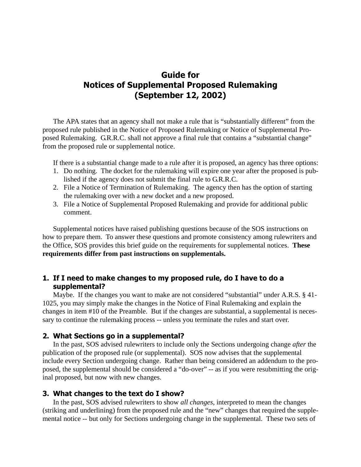# **Guide for Notices of Supplemental Proposed Rulemaking (September 12, 2002)**

The APA states that an agency shall not make a rule that is "substantially different" from the proposed rule published in the Notice of Proposed Rulemaking or Notice of Supplemental Proposed Rulemaking. G.R.R.C. shall not approve a final rule that contains a "substantial change" from the proposed rule or supplemental notice.

If there is a substantial change made to a rule after it is proposed, an agency has three options:

- 1. Do nothing. The docket for the rulemaking will expire one year after the proposed is published if the agency does not submit the final rule to G.R.R.C.
- 2. File a Notice of Termination of Rulemaking. The agency then has the option of starting the rulemaking over with a new docket and a new proposed.
- 3. File a Notice of Supplemental Proposed Rulemaking and provide for additional public comment.

Supplemental notices have raised publishing questions because of the SOS instructions on how to prepare them. To answer these questions and promote consistency among rulewriters and the Office, SOS provides this brief guide on the requirements for supplemental notices. **These requirements differ from past instructions on supplementals.**

## 1. If I need to make changes to my proposed rule, do I have to do a supplemental?

Maybe. If the changes you want to make are not considered "substantial" under A.R.S. § 41- 1025, you may simply make the changes in the Notice of Final Rulemaking and explain the changes in item #10 of the Preamble. But if the changes are substantial, a supplemental is necessary to continue the rulemaking process -- unless you terminate the rules and start over.

### 2. What Sections go in a supplemental?

In the past, SOS advised rulewriters to include only the Sections undergoing change *after* the publication of the proposed rule (or supplemental). SOS now advises that the supplemental include every Section undergoing change. Rather than being considered an addendum to the proposed, the supplemental should be considered a "do-over" -- as if you were resubmitting the original proposed, but now with new changes.

#### 3. What changes to the text do I show?

In the past, SOS advised rulewriters to show *all changes*, interpreted to mean the changes (striking and underlining) from the proposed rule and the "new" changes that required the supplemental notice -- but only for Sections undergoing change in the supplemental. These two sets of